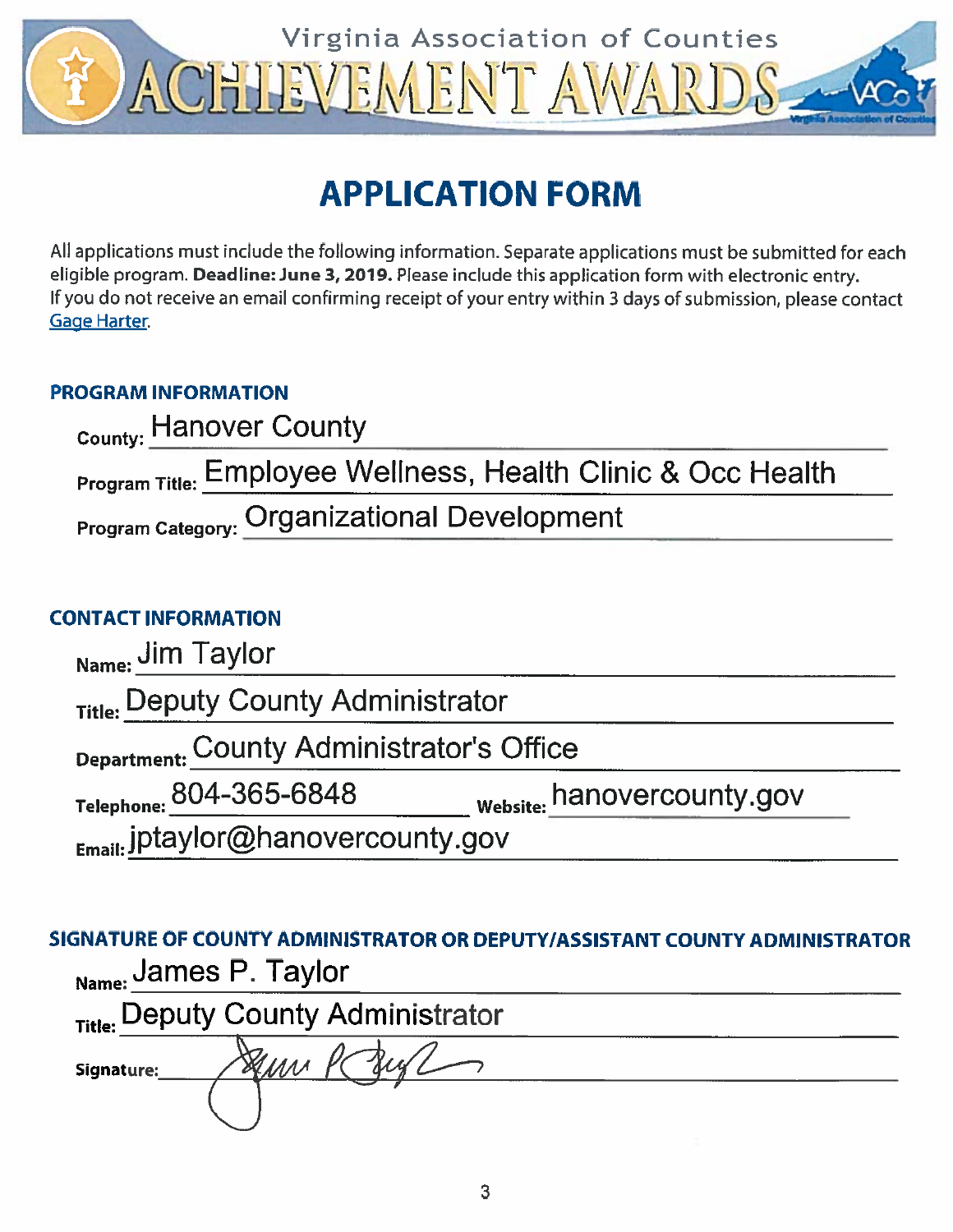

# **APPLICATION FORM**

All applications must include the following information. Separate applications must be submitted for each eligible program. Deadline: June 3, 2019. Please include this application form with electronic entry. If you do not receive an email confirming receipt of your entry within 3 days of submission, please contact **Gage Harter**.

#### **PROGRAM INFORMATION**

| County: Hanover County                                                  |
|-------------------------------------------------------------------------|
| <b>Program Title: Employee Wellness, Health Clinic &amp; Occ Health</b> |
| <b>Program Category: Organizational Development</b>                     |

#### **CONTACT INFORMATION**

| Name: Jim Taylor                          |                            |
|-------------------------------------------|----------------------------|
| Title: Deputy County Administrator        |                            |
| Department: County Administrator's Office |                            |
| Telephone: 804-365-6848                   | Website: hanovercounty.gov |
| Email: jptaylor@hanovercounty.gov         |                            |

SIGNATURE OF COUNTY ADMINISTRATOR OR DEPUTY/ASSISTANT COUNTY ADMINISTRATOR Nama: James P. Taylor

| wawe.      |                                    |  |
|------------|------------------------------------|--|
|            | Title: Deputy County Administrator |  |
| Signature: |                                    |  |
|            |                                    |  |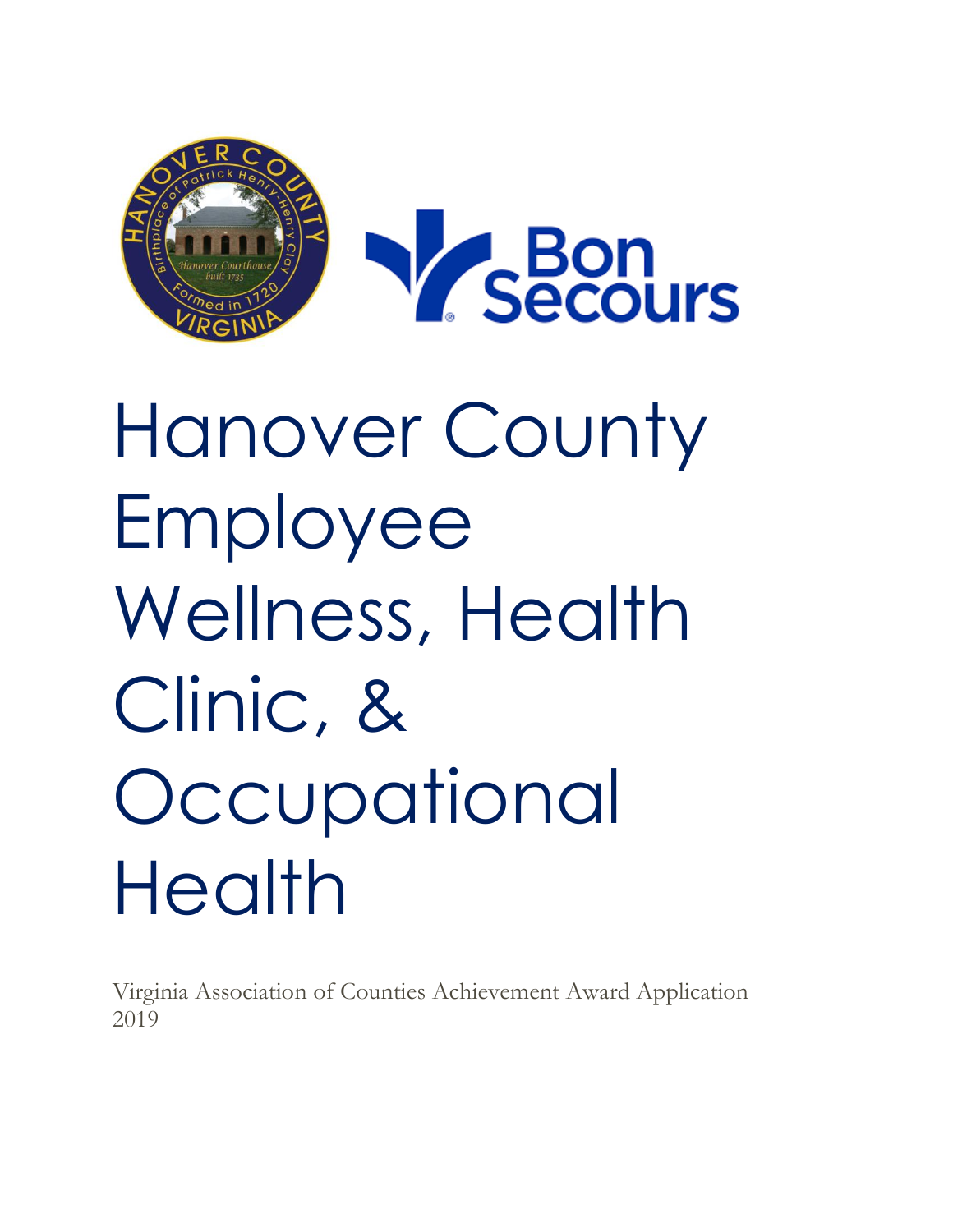

# Hanover County Employee Wellness, Health Clinic, & **Occupational** Health

Virginia Association of Counties Achievement Award Application 2019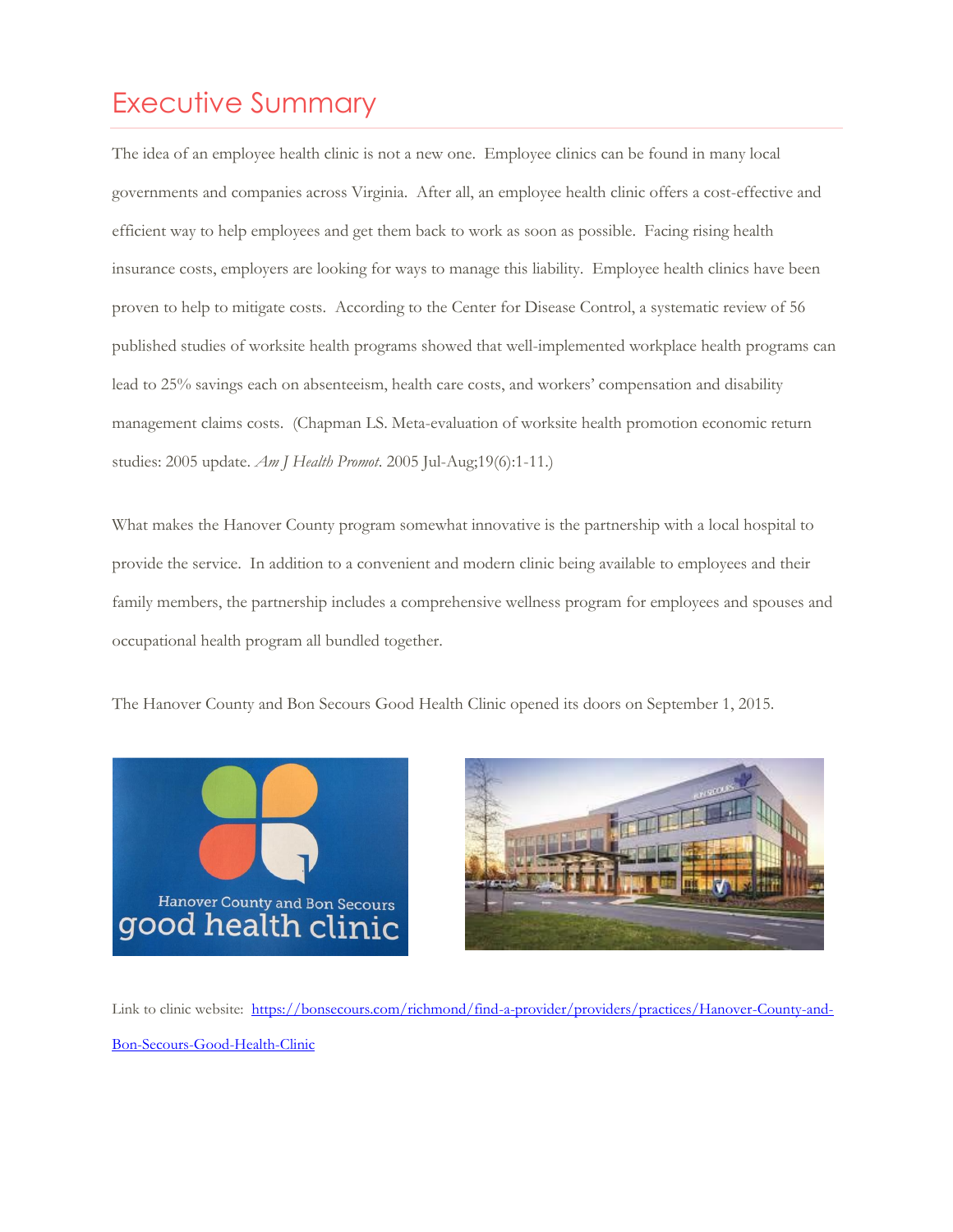## Executive Summary

The idea of an employee health clinic is not a new one. Employee clinics can be found in many local governments and companies across Virginia. After all, an employee health clinic offers a cost-effective and efficient way to help employees and get them back to work as soon as possible. Facing rising health insurance costs, employers are looking for ways to manage this liability. Employee health clinics have been proven to help to mitigate costs. According to the Center for Disease Control, a systematic review of 56 published studies of worksite health programs showed that well-implemented workplace health programs can lead to 25% savings each on absenteeism, health care costs, and workers' compensation and disability management claims costs. (Chapman LS. Meta-evaluation of worksite health promotion economic return studies: 2005 update. *Am J Health Promot*. 2005 Jul-Aug;19(6):1-11.)

What makes the Hanover County program somewhat innovative is the partnership with a local hospital to provide the service. In addition to a convenient and modern clinic being available to employees and their family members, the partnership includes a comprehensive wellness program for employees and spouses and occupational health program all bundled together.

The Hanover County and Bon Secours Good Health Clinic opened its doors on September 1, 2015.





Link to clinic website: [https://bonsecours.com/richmond/find-a-provider/providers/practices/Hanover-County-and-](https://bonsecours.com/richmond/find-a-provider/providers/practices/Hanover-County-and-Bon-Secours-Good-Health-Clinic)[Bon-Secours-Good-Health-Clinic](https://bonsecours.com/richmond/find-a-provider/providers/practices/Hanover-County-and-Bon-Secours-Good-Health-Clinic)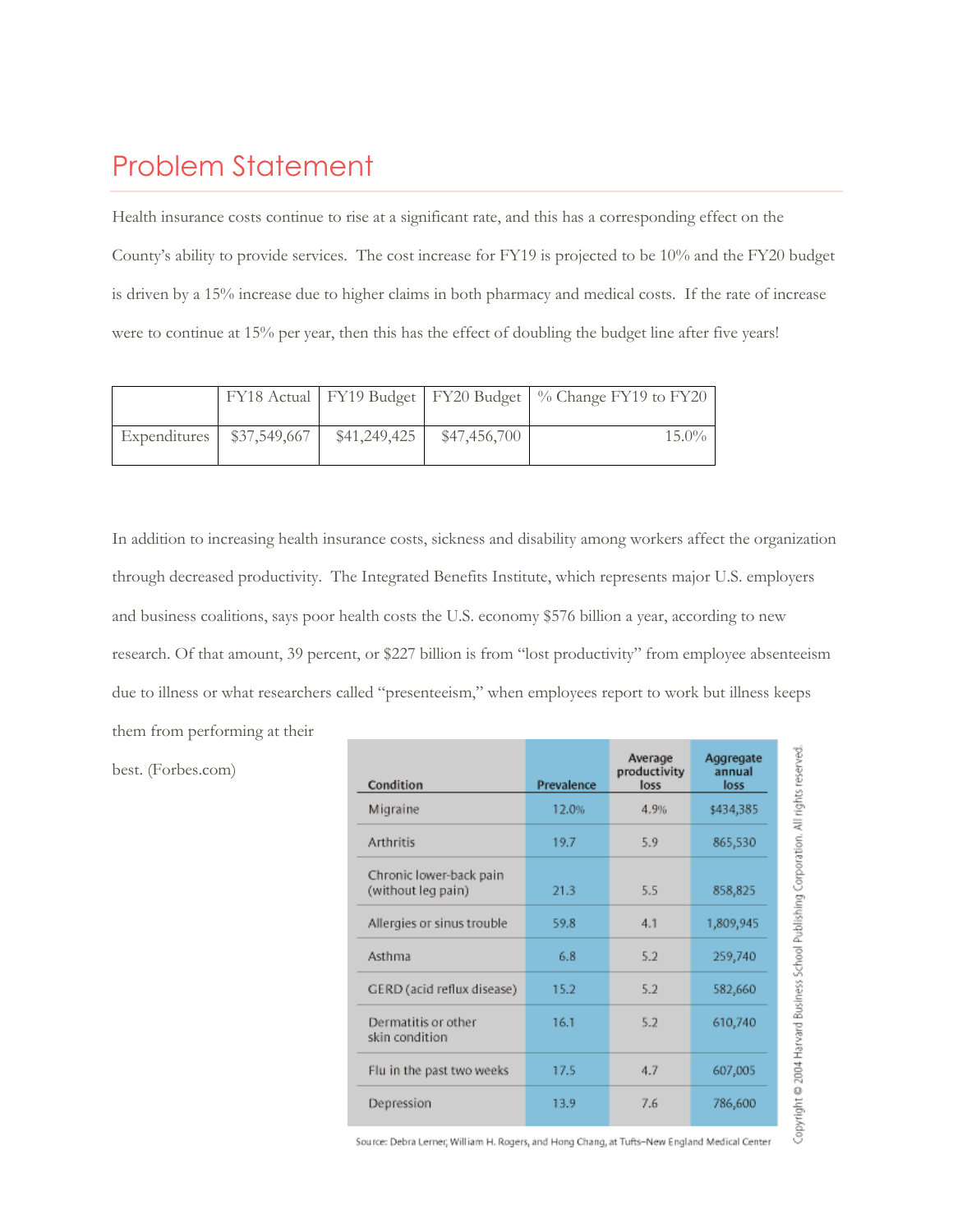### Problem Statement

Health insurance costs continue to rise at a significant rate, and this has a corresponding effect on the County's ability to provide services. The cost increase for FY19 is projected to be 10% and the FY20 budget is driven by a 15% increase due to higher claims in both pharmacy and medical costs. If the rate of increase were to continue at 15% per year, then this has the effect of doubling the budget line after five years!

|              |              |              |              | FY18 Actual   FY19 Budget   FY20 Budget   % Change FY19 to FY20 |
|--------------|--------------|--------------|--------------|-----------------------------------------------------------------|
|              |              |              |              |                                                                 |
| Expenditures | \$37,549,667 | \$41,249,425 | \$47,456,700 | $15.0\%$                                                        |
|              |              |              |              |                                                                 |

In addition to increasing health insurance costs, sickness and disability among workers affect the organization through decreased productivity. [The Integrated Benefits Institute,](http://ibiweb.org/) which represents major U.S. employers and business coalitions, says poor health costs the U.S. economy \$576 billion a year, according to new research. Of that amount, 39 percent, or \$227 billion is from "lost productivity" from employee absenteeism due to illness or what researchers called "presenteeism," when employees report to work but illness keeps them from performing at their

| Condition                                     | Prevalence | Average<br>productivity<br>loss | Aggregate<br>annual<br>loss |
|-----------------------------------------------|------------|---------------------------------|-----------------------------|
| Migraine                                      | 12.0%      | 4.9%                            | \$434,385                   |
| Arthritis                                     | 19.7       | 5.9                             | 865,530                     |
| Chronic lower-back pain<br>(without leg pain) | 21.3       | 5.5                             | 858,825                     |
| Allergies or sinus trouble                    | 59.8       | 4.1                             | 1,809,945                   |
| Asthma                                        | 6.8        | 5.2                             | 259,740                     |
| GERD (acid reflux disease)                    | 15.2       | 5.2                             | 582,660                     |
| Dermatitis or other<br>skin condition         | 16.1       | 5.2                             | 610,740                     |
| Flu in the past two weeks                     | 17.5       | 4.7                             | 607,005                     |
| Depression                                    | 13.9       | 7.6                             | 786,600                     |

best. (Forbes.com)

Source: Debra Lerner, William H. Rogers, and Hong Chang, at Tufts-New England Medical Center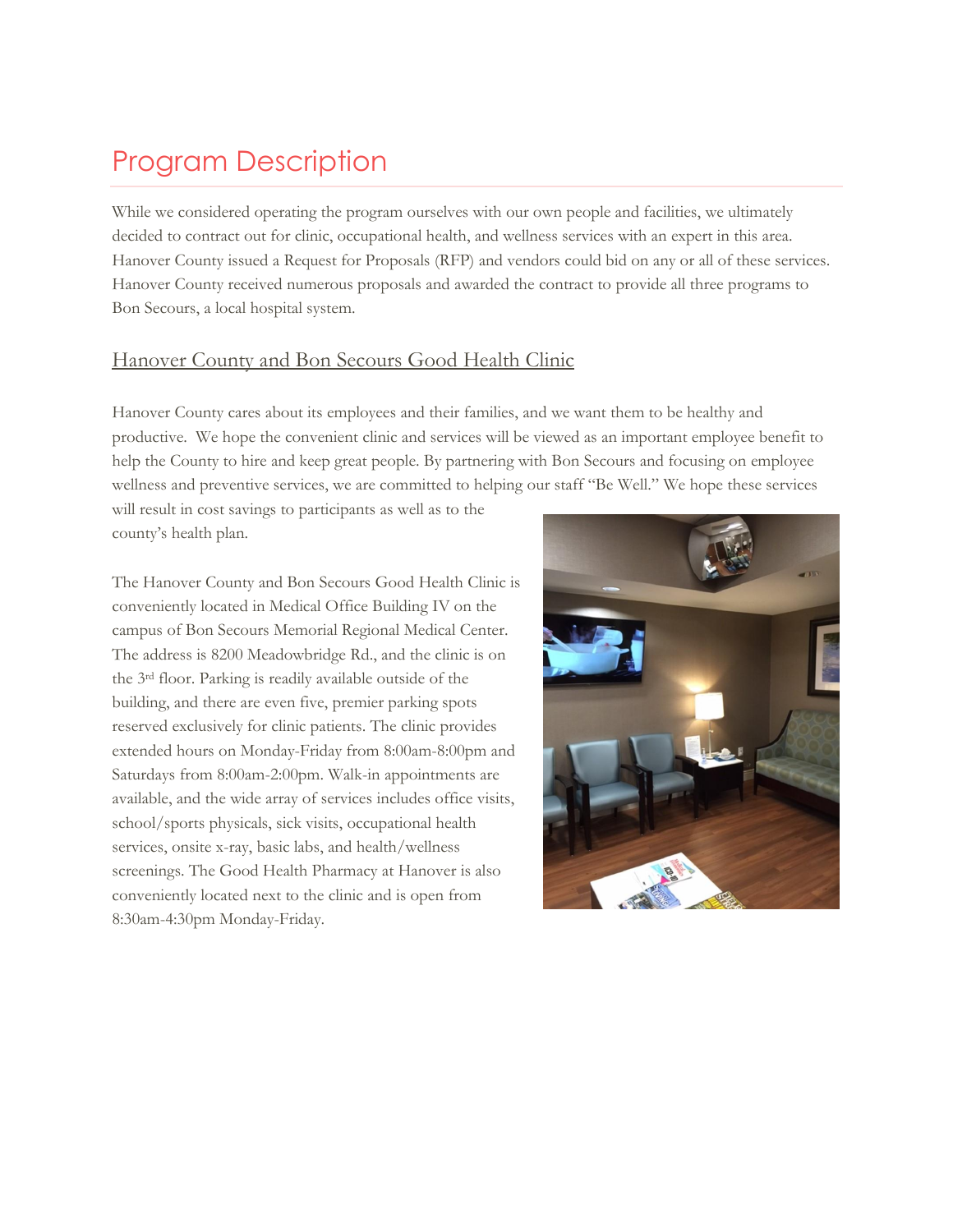## Program Description

While we considered operating the program ourselves with our own people and facilities, we ultimately decided to contract out for clinic, occupational health, and wellness services with an expert in this area. Hanover County issued a Request for Proposals (RFP) and vendors could bid on any or all of these services. Hanover County received numerous proposals and awarded the contract to provide all three programs to Bon Secours, a local hospital system.

#### Hanover County and Bon Secours Good Health Clinic

Hanover County cares about its employees and their families, and we want them to be healthy and productive. We hope the convenient clinic and services will be viewed as an important employee benefit to help the County to hire and keep great people. By partnering with Bon Secours and focusing on employee wellness and preventive services, we are committed to helping our staff "Be Well." We hope these services

will result in cost savings to participants as well as to the county's health plan.

The Hanover County and Bon Secours Good Health Clinic is conveniently located in Medical Office Building IV on the campus of Bon Secours Memorial Regional Medical Center. The address is 8200 Meadowbridge Rd., and the clinic is on the 3rd floor. Parking is readily available outside of the building, and there are even five, premier parking spots reserved exclusively for clinic patients. The clinic provides extended hours on Monday-Friday from 8:00am-8:00pm and Saturdays from 8:00am-2:00pm. Walk-in appointments are available, and the wide array of services includes office visits, school/sports physicals, sick visits, occupational health services, onsite x-ray, basic labs, and health/wellness screenings. The Good Health Pharmacy at Hanover is also conveniently located next to the clinic and is open from 8:30am-4:30pm Monday-Friday.

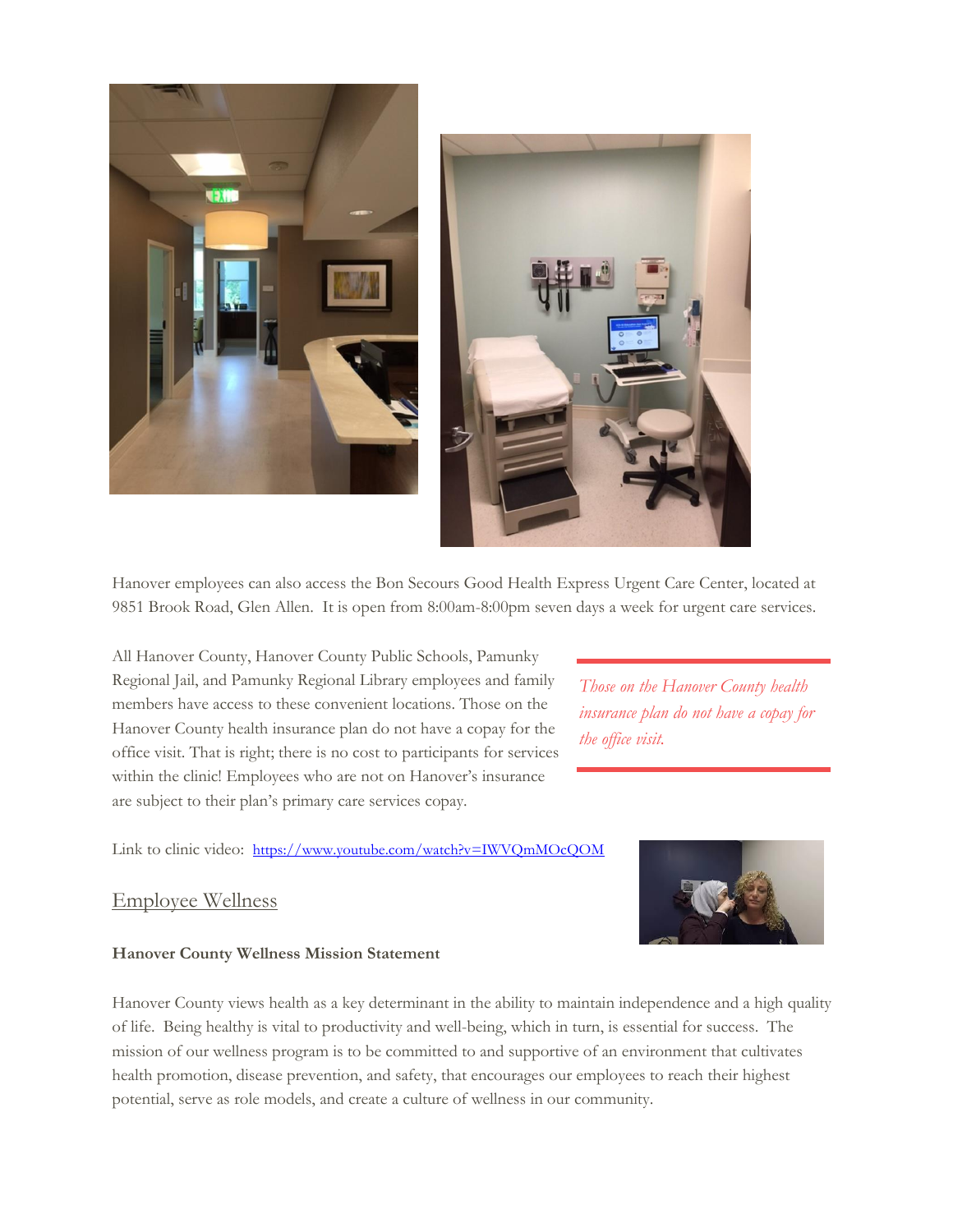

Hanover employees can also access the Bon Secours Good Health Express Urgent Care Center, located at 9851 Brook Road, Glen Allen. It is open from 8:00am-8:00pm seven days a week for urgent care services.

All Hanover County, Hanover County Public Schools, Pamunky Regional Jail, and Pamunky Regional Library employees and family members have access to these convenient locations. Those on the Hanover County health insurance plan do not have a copay for the office visit. That is right; there is no cost to participants for services within the clinic! Employees who are not on Hanover's insurance are subject to their plan's primary care services copay.

*Those on the Hanover County health insurance plan do not have a copay for the office visit.*

Link to clinic video: https://www.youtube.com/watch?v=IWVQmMOcQOM

#### Employee Wellness



#### **Hanover County Wellness Mission Statement**

Hanover County views health as a key determinant in the ability to maintain independence and a high quality of life. Being healthy is vital to productivity and well-being, which in turn, is essential for success. The mission of our wellness program is to be committed to and supportive of an environment that cultivates health promotion, disease prevention, and safety, that encourages our employees to reach their highest potential, serve as role models, and create a culture of wellness in our community.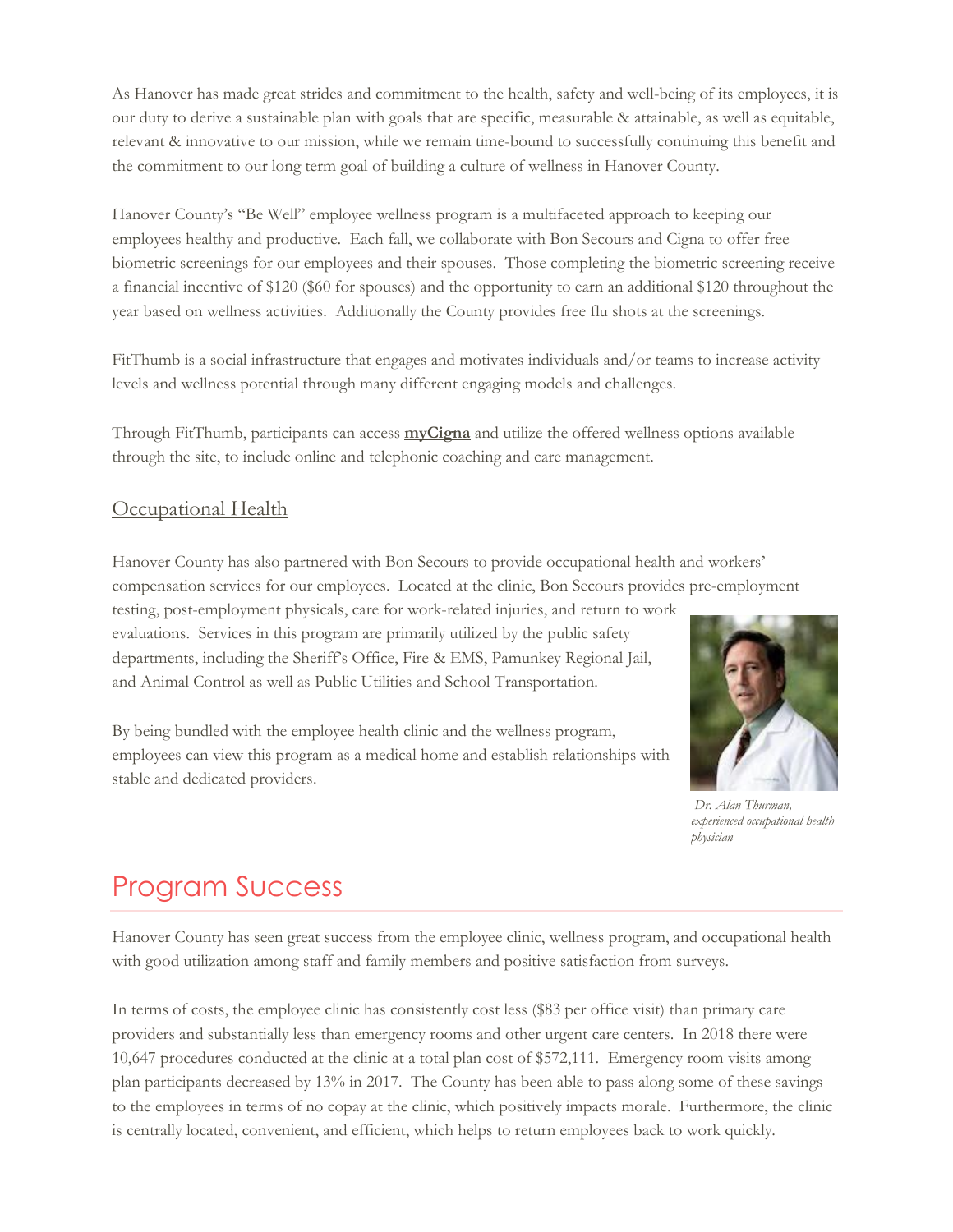As Hanover has made great strides and commitment to the health, safety and well-being of its employees, it is our duty to derive a sustainable plan with goals that are specific, measurable & attainable, as well as equitable, relevant & innovative to our mission, while we remain time-bound to successfully continuing this benefit and the commitment to our long term goal of building a culture of wellness in Hanover County.

Hanover County's "Be Well" employee wellness program is a multifaceted approach to keeping our employees healthy and productive. Each fall, we collaborate with Bon Secours and Cigna to offer free biometric screenings for our employees and their spouses. Those completing the biometric screening receive a financial incentive of \$120 (\$60 for spouses) and the opportunity to earn an additional \$120 throughout the year based on wellness activities. Additionally the County provides free flu shots at the screenings.

FitThumb is a social infrastructure that engages and motivates individuals and/or teams to increase activity levels and wellness potential through many different engaging models and challenges.

Through FitThumb, participants can access **[myCigna](https://my.cigna.com/web/public/guest)** and utilize the offered wellness options available through the site, to include online and telephonic coaching and care management.

#### **Occupational Health**

Hanover County has also partnered with Bon Secours to provide occupational health and workers' compensation services for our employees. Located at the clinic, Bon Secours provides pre-employment

testing, post-employment physicals, care for work-related injuries, and return to work evaluations. Services in this program are primarily utilized by the public safety departments, including the Sheriff's Office, Fire & EMS, Pamunkey Regional Jail, and Animal Control as well as Public Utilities and School Transportation.

By being bundled with the employee health clinic and the wellness program, employees can view this program as a medical home and establish relationships with stable and dedicated providers.



*Dr. Alan Thurman, experienced occupational health physician*

## Program Success

Hanover County has seen great success from the employee clinic, wellness program, and occupational health with good utilization among staff and family members and positive satisfaction from surveys.

In terms of costs, the employee clinic has consistently cost less (\$83 per office visit) than primary care providers and substantially less than emergency rooms and other urgent care centers. In 2018 there were 10,647 procedures conducted at the clinic at a total plan cost of \$572,111. Emergency room visits among plan participants decreased by 13% in 2017. The County has been able to pass along some of these savings to the employees in terms of no copay at the clinic, which positively impacts morale. Furthermore, the clinic is centrally located, convenient, and efficient, which helps to return employees back to work quickly.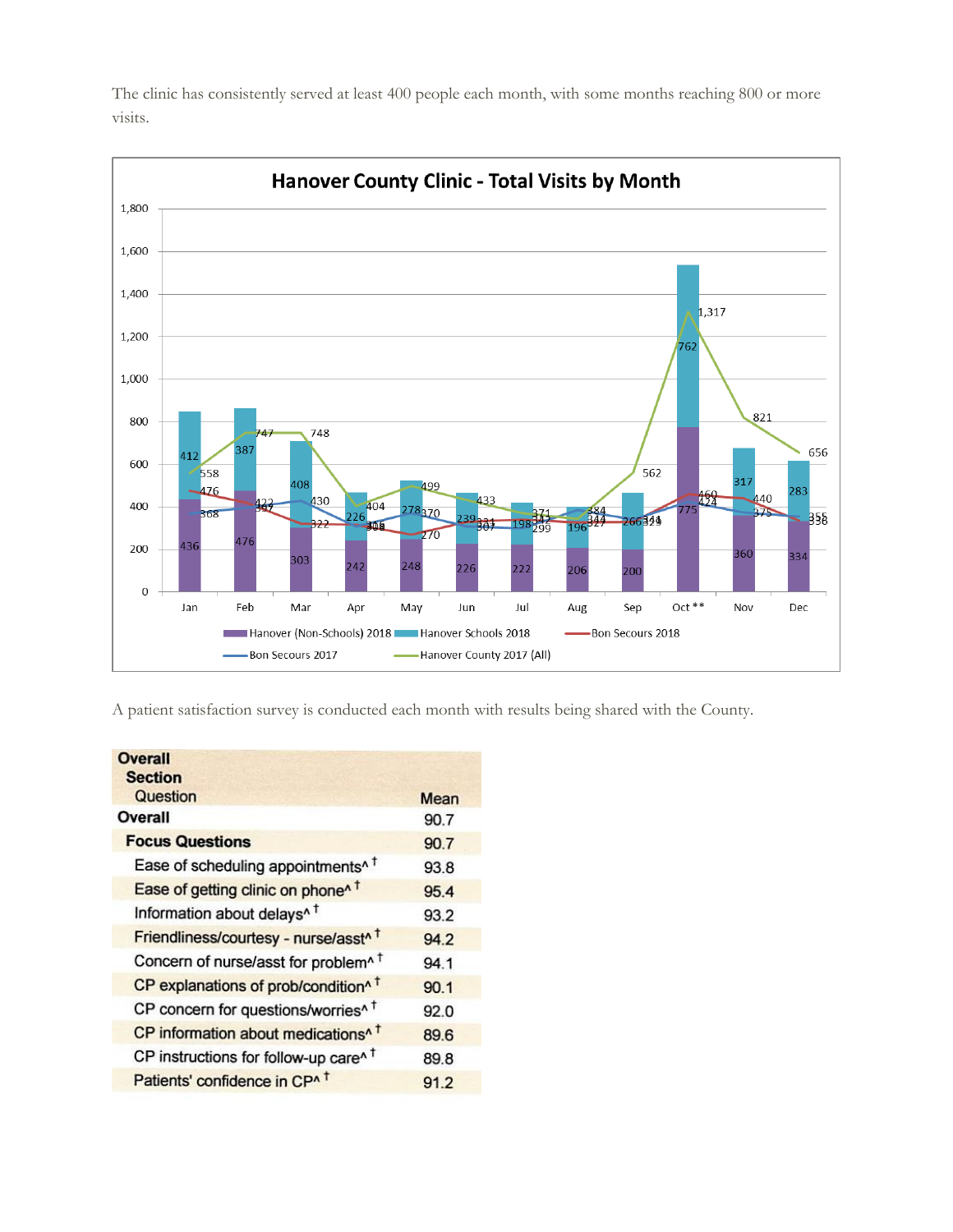

The clinic has consistently served at least 400 people each month, with some months reaching 800 or more visits.

A patient satisfaction survey is conducted each month with results being shared with the County.

| <b>Overall</b><br><b>Section</b>                  |      |
|---------------------------------------------------|------|
| Question                                          | Mean |
| Overall                                           | 90.7 |
| <b>Focus Questions</b>                            | 90.7 |
| Ease of scheduling appointments <sup>^</sup>      | 93.8 |
| Ease of getting clinic on phone <sup>1</sup>      | 95.4 |
| Information about delays <sup>^1</sup>            | 93.2 |
| Friendliness/courtesy - nurse/asst <sup>^1</sup>  | 94.2 |
| Concern of nurse/asst for problem <sup>^</sup> T  | 94.1 |
| CP explanations of prob/condition^ t              | 90.1 |
| CP concern for questions/worries <sup>^</sup> T   | 92.0 |
| CP information about medications <sup>^</sup>     | 89.6 |
| CP instructions for follow-up care <sup>n t</sup> | 89.8 |
| Patients' confidence in CP^ +                     | 91.2 |
|                                                   |      |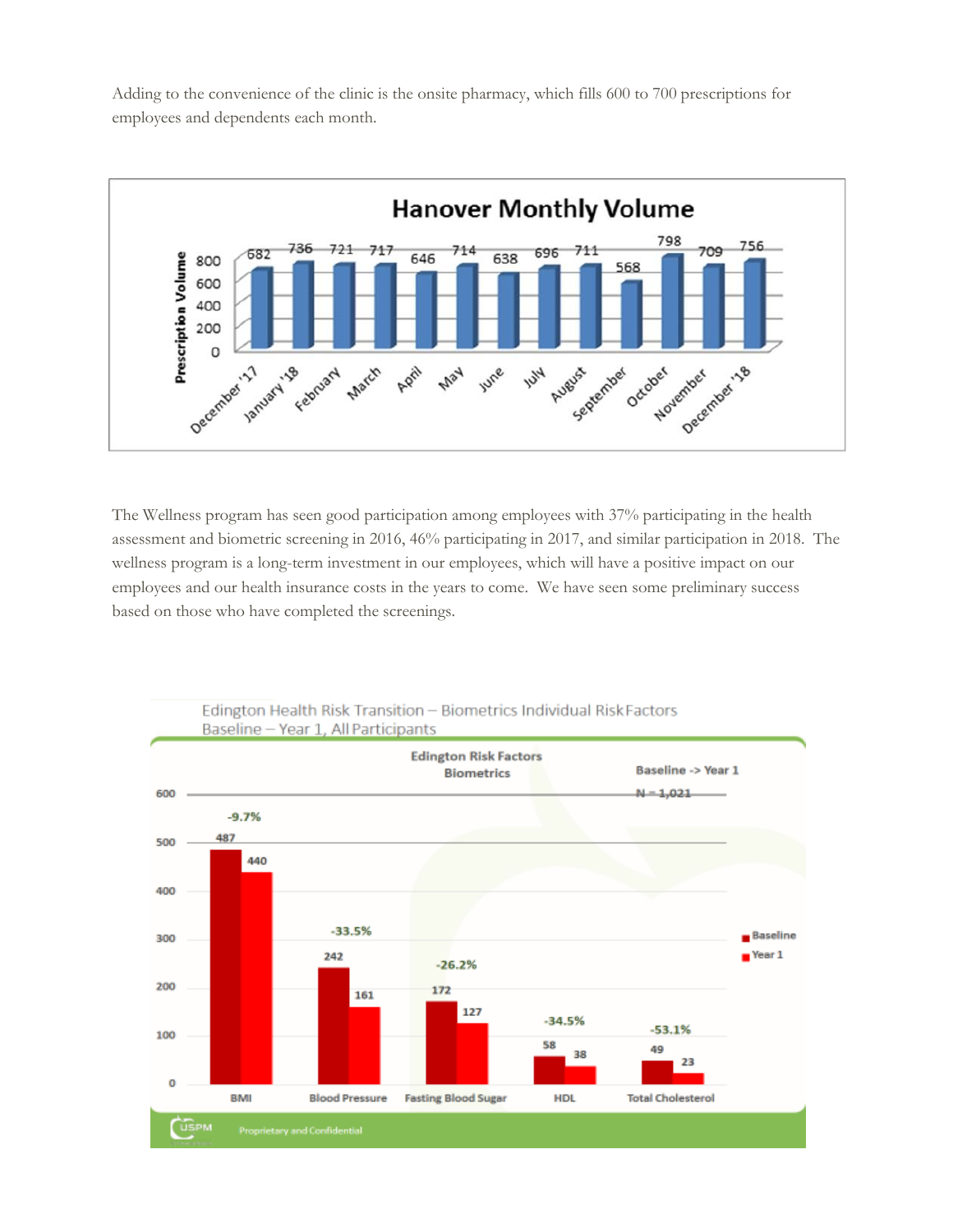Adding to the convenience of the clinic is the onsite pharmacy, which fills 600 to 700 prescriptions for employees and dependents each month.



The Wellness program has seen good participation among employees with 37% participating in the health assessment and biometric screening in 2016, 46% participating in 2017, and similar participation in 2018. The wellness program is a long-term investment in our employees, which will have a positive impact on our employees and our health insurance costs in the years to come. We have seen some preliminary success based on those who have completed the screenings.



## Edington Health Risk Transition - Biometrics Individual Risk Factors